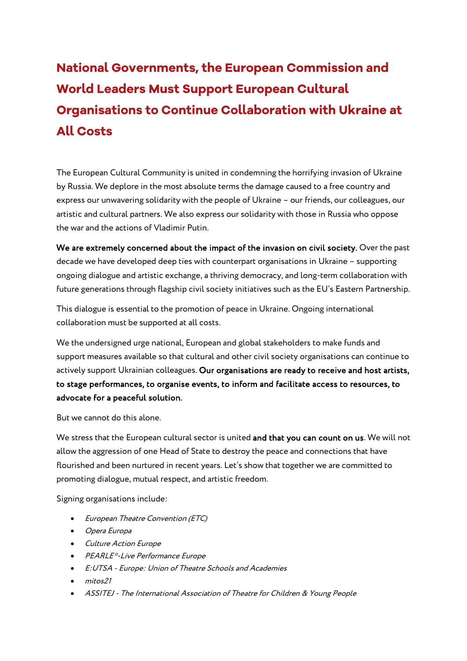## National Governments, the European Commission and World Leaders Must Support European Cultural Organisations to Continue Collaboration with Ukraine at All Costs

The European Cultural Community is united in condemning the horrifying invasion of Ukraine by Russia. We deplore in the most absolute terms the damage caused to a free country and express our unwavering solidarity with the people of Ukraine – our friends, our colleagues, our artistic and cultural partners. We also express our solidarity with those in Russia who oppose the war and the actions of Vladimir Putin.

We are extremely concerned about the impact of the invasion on civil society. Over the past decade we have developed deep ties with counterpart organisations in Ukraine – supporting ongoing dialogue and artistic exchange, a thriving democracy, and long-term collaboration with future generations through flagship civil society initiatives such as the EU's Eastern Partnership.

This dialogue is essential to the promotion of peace in Ukraine. Ongoing international collaboration must be supported at all costs.

We the undersigned urge national, European and global stakeholders to make funds and support measures available so that cultural and other civil society organisations can continue to actively support Ukrainian colleagues. Our organisations are ready to receive and host artists, to stage performances, to organise events, to inform and facilitate access to resources, to advocate for a peaceful solution.

But we cannot do this alone.

We stress that the European cultural sector is united and that you can count on us. We will not allow the aggression of one Head of State to destroy the peace and connections that have flourished and been nurtured in recent years. Let's show that together we are committed to promoting dialogue, mutual respect, and artistic freedom.

Signing organisations include:

- European Theatre Convention (ETC)
- Opera Europa
- Culture Action Europe
- PEARLE\*-Live Performance Europe
- E:UTSA Europe: Union of Theatre Schools and Academies
- $\cdot$  mitos21
- ASSITEJ The International Association of Theatre for Children & Young People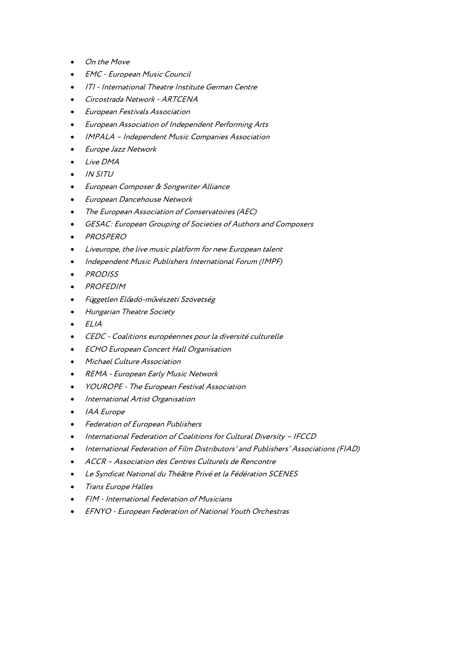- On the Move
- EMC European Music Council
- ITI International Theatre Institute German Centre
- Circostrada Network ARTCENA
- European Festivals Association
- European Association of Independent Performing Arts
- IMPALA Independent Music Companies Association
- Europe Jazz Network
- Live DMA
- IN SITU
- European Composer & Songwriter Alliance
- European Dancehouse Network
- The European Association of Conservatoires (AEC)
- GESAC: European Grouping of Societies of Authors and Composers
- PROSPERO
- Liveurope, the live music platform for new European talent
- Independent Music Publishers International Forum (IMPF)
- PRODISS
- PROFEDIM
- Független Előadó-művészeti Szövetség
- Hungarian Theatre Society
- ELIA
- CEDC Coalitions européennes pour la diversité culturelle
- ECHO European Concert Hall Organisation
- Michael Culture Association
- REMA European Early Music Network
- YOUROPE The European Festival Association
- International Artist Organisation
- **IAA** Europe
- Federation of European Publishers
- International Federation of Coalitions for Cultural Diversity IFCCD
- International Federation of Film Distributors' and Publishers' Associations (FIAD)
- ACCR Association des Centres Culturels de Rencontre
- Le Syndicat National du Théâtre Privé et la Fédération SCENES
- Trans Europe Halles
- FIM International Federation of Musicians
- EFNYO European Federation of National Youth Orchestras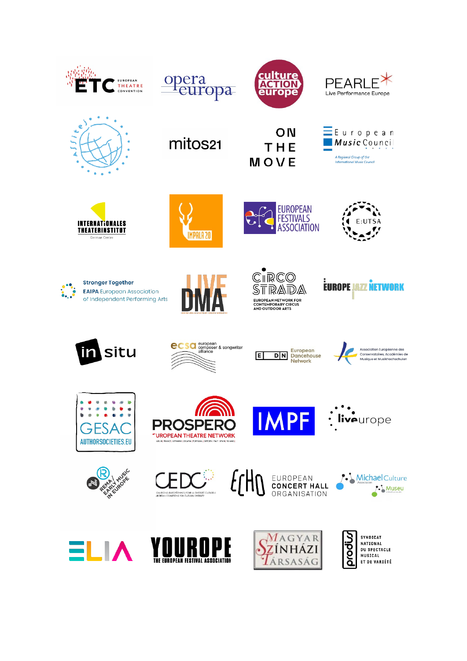